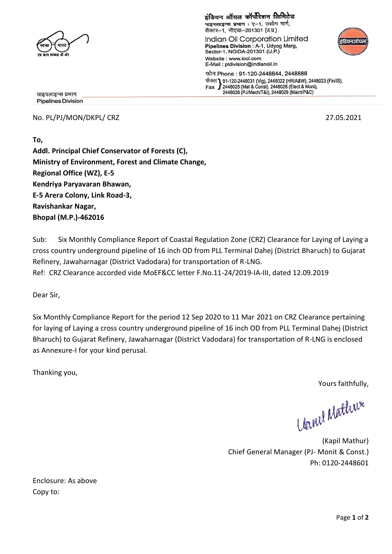

इंडियन ऑयल कॉर्पोरेशन लिमिटेड पाइपलाइन्स प्रभाग: ए-1, उद्योग मार्ग,

सैक्टर-1, नौएडा-201301 (उ.प्र.) Indian Oil Corporation Limited Pipelines Division : A-1, Udyog Marg, Sector-1, NOIDA-201301 (U.P.) Website: www.iocl.com E-Mail: pldivision@indianoil.in



फोन Phone : 91-120-2448844, 2448888 फेंक्स 1 91-120-2448031 (Vig), 2448022 (HR/A&W), 2448023 (Fin/IS), Fax  $\int$  2448025 (Mat & Const), 2448026 (Elect & Moni), 2448028 (PJ/Mech/T&I), 2448029 (Maint/P&C)

पाइपलाइन्स प्रभाग **Pipelines Division** 

No. PL/PJ/MON/DKPL/ CRZ 27.05.2021

**To, Addl. Principal Chief Conservator of Forests (C), Ministry of Environment, Forest and Climate Change, Regional Office (WZ), E-5 Kendriya Paryavaran Bhawan, E-5 Arera Colony, Link Road-3, Ravishankar Nagar, Bhopal (M.P.)-462016** 

Sub: Six Monthly Compliance Report of Coastal Regulation Zone (CRZ) Clearance for Laying of Laying a cross country underground pipeline of 16 inch OD from PLL Terminal Dahej (District Bharuch) to Gujarat Refinery, Jawaharnagar (District Vadodara) for transportation of R-LNG.

Ref: CRZ Clearance accorded vide MoEF&CC letter F.No.11-24/2019-IA-III, dated 12.09.2019

Dear Sir,

Six Monthly Compliance Report for the period 12 Sep 2020 to 11 Mar 2021 on CRZ Clearance pertaining for laying of Laying a cross country underground pipeline of 16 inch OD from PLL Terminal Dahej (District Bharuch) to Gujarat Refinery, Jawaharnagar (District Vadodara) for transportation of R-LNG is enclosed as Annexure-I for your kind perusal.

Thanking you,

Yours faithfully,

Uanel Mathier

(Kapil Mathur) Chief General Manager (PJ- Monit & Const.) Ph: 0120-2448601

Enclosure: As above Copy to: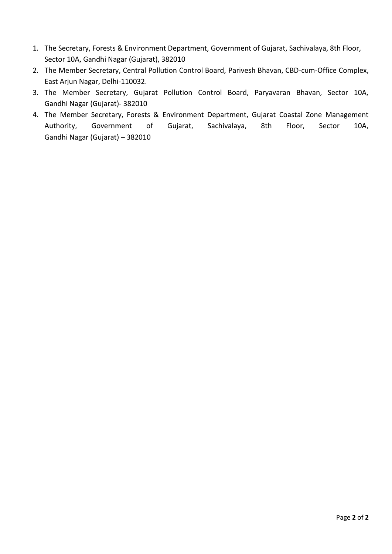- 1. The Secretary, Forests & Environment Department, Government of Gujarat, Sachivalaya, 8th Floor, Sector 10A, Gandhi Nagar (Gujarat), 382010
- 2. The Member Secretary, Central Pollution Control Board, Parivesh Bhavan, CBD-cum-Office Complex, East Arjun Nagar, Delhi-110032.
- 3. The Member Secretary, Gujarat Pollution Control Board, Paryavaran Bhavan, Sector 10A, Gandhi Nagar (Gujarat)- 382010
- 4. The Member Secretary, Forests & Environment Department, Gujarat Coastal Zone Management Authority, Government of Gujarat, Sachivalaya, 8th Floor, Sector 10A, Gandhi Nagar (Gujarat) – 382010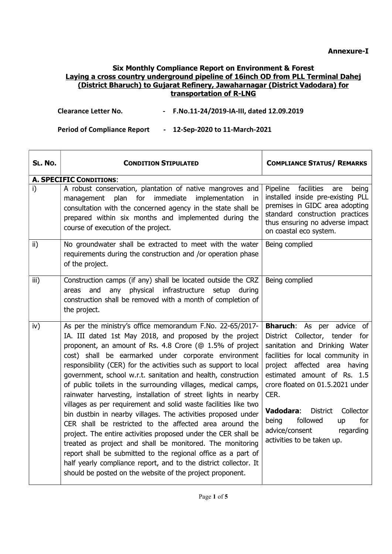$\overline{\phantom{a}}$ 

### Six Monthly Compliance Report on Environment & Forest Laying a cross country underground pipeline of 16inch OD from PLL Terminal Dahej (District Bharuch) to Gujarat Refinery, Jawaharnagar (District Vadodara) for transportation of R-LNG

| <b>Clearance Letter No.</b> |  | - F.No.11-24/2019-IA-III, dated 12.09.2019 |
|-----------------------------|--|--------------------------------------------|
|-----------------------------|--|--------------------------------------------|

Period of Compliance Report - 12-Sep-2020 to 11-March-2021

┯

| SL. No.         | <b>CONDITION STIPULATED</b>                                                                                                                                                                                                                                                                                                                                                                                                                                                                                                                                                                                                                                                                                                                                                                                                                                                                                                                                                                                                                     | <b>COMPLIANCE STATUS/ REMARKS</b>                                                                                                                                                                                                                                                                                                                                                               |
|-----------------|-------------------------------------------------------------------------------------------------------------------------------------------------------------------------------------------------------------------------------------------------------------------------------------------------------------------------------------------------------------------------------------------------------------------------------------------------------------------------------------------------------------------------------------------------------------------------------------------------------------------------------------------------------------------------------------------------------------------------------------------------------------------------------------------------------------------------------------------------------------------------------------------------------------------------------------------------------------------------------------------------------------------------------------------------|-------------------------------------------------------------------------------------------------------------------------------------------------------------------------------------------------------------------------------------------------------------------------------------------------------------------------------------------------------------------------------------------------|
|                 | <b>A. SPECIFIC CONDITIONS:</b>                                                                                                                                                                                                                                                                                                                                                                                                                                                                                                                                                                                                                                                                                                                                                                                                                                                                                                                                                                                                                  |                                                                                                                                                                                                                                                                                                                                                                                                 |
| i)              | A robust conservation, plantation of native mangroves and<br>for<br>immediate<br>implementation<br>plan<br>management<br>in.<br>consultation with the concerned agency in the state shall be<br>prepared within six months and implemented during the<br>course of execution of the project.                                                                                                                                                                                                                                                                                                                                                                                                                                                                                                                                                                                                                                                                                                                                                    | facilities<br>Pipeline<br>being<br>are<br>installed inside pre-existing PLL<br>premises in GIDC area adopting<br>standard construction practices<br>thus ensuring no adverse impact<br>on coastal eco system.                                                                                                                                                                                   |
| $\mathsf{ii}$ ) | No groundwater shall be extracted to meet with the water<br>requirements during the construction and /or operation phase<br>of the project.                                                                                                                                                                                                                                                                                                                                                                                                                                                                                                                                                                                                                                                                                                                                                                                                                                                                                                     | Being complied                                                                                                                                                                                                                                                                                                                                                                                  |
| iii)            | Construction camps (if any) shall be located outside the CRZ<br>any physical infrastructure setup<br>and<br>during<br>areas<br>construction shall be removed with a month of completion of<br>the project.                                                                                                                                                                                                                                                                                                                                                                                                                                                                                                                                                                                                                                                                                                                                                                                                                                      | Being complied                                                                                                                                                                                                                                                                                                                                                                                  |
| iv)             | As per the ministry's office memorandum F.No. 22-65/2017-<br>IA. III dated 1st May 2018, and proposed by the project<br>proponent, an amount of Rs. 4.8 Crore (@ 1.5% of project<br>cost) shall be earmarked under corporate environment<br>responsibility (CER) for the activities such as support to local<br>government, school w.r.t. sanitation and health, construction<br>of public toilets in the surrounding villages, medical camps,<br>rainwater harvesting, installation of street lights in nearby<br>villages as per requirement and solid waste facilities like two<br>bin dustbin in nearby villages. The activities proposed under<br>CER shall be restricted to the affected area around the<br>project. The entire activities proposed under the CER shall be<br>treated as project and shall be monitored. The monitoring<br>report shall be submitted to the regional office as a part of<br>half yearly compliance report, and to the district collector. It<br>should be posted on the website of the project proponent. | <b>Bharuch:</b> As per advice of<br>District Collector, tender for<br>sanitation and Drinking Water<br>facilities for local community in<br>project affected area having<br>estimated amount of Rs. 1.5<br>crore floated on 01.5.2021 under<br>CER.<br>Vadodara:<br><b>District</b><br>Collector<br>followed<br>for<br>being<br>up<br>advice/consent<br>regarding<br>activities to be taken up. |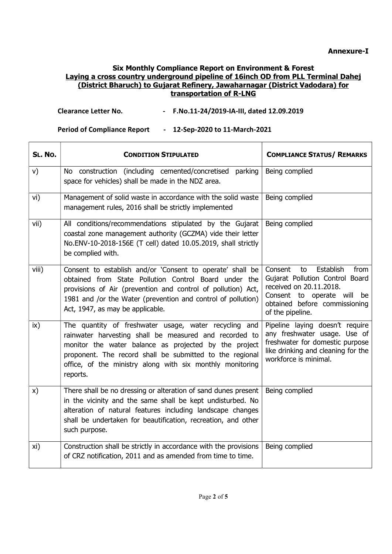# Clearance Letter No. - F.No.11-24/2019-IA-III, dated 12.09.2019

| SL. No.       | <b>CONDITION STIPULATED</b>                                                                                                                                                                                                                                                                                   | <b>COMPLIANCE STATUS/ REMARKS</b>                                                                                                                                                      |
|---------------|---------------------------------------------------------------------------------------------------------------------------------------------------------------------------------------------------------------------------------------------------------------------------------------------------------------|----------------------------------------------------------------------------------------------------------------------------------------------------------------------------------------|
| V)            | No construction (including cemented/concretised<br>parking<br>space for vehicles) shall be made in the NDZ area.                                                                                                                                                                                              | Being complied                                                                                                                                                                         |
| vi)           | Management of solid waste in accordance with the solid waste<br>management rules, 2016 shall be strictly implemented                                                                                                                                                                                          | Being complied                                                                                                                                                                         |
| vii)          | All conditions/recommendations stipulated by the Gujarat<br>coastal zone management authority (GCZMA) vide their letter<br>No.ENV-10-2018-156E (T cell) dated 10.05.2019, shall strictly<br>be complied with.                                                                                                 | Being complied                                                                                                                                                                         |
| viii)         | Consent to establish and/or 'Consent to operate' shall be<br>obtained from State Pollution Control Board under the<br>provisions of Air (prevention and control of pollution) Act,<br>1981 and /or the Water (prevention and control of pollution)<br>Act, 1947, as may be applicable.                        | Establish<br>from<br>Consent<br>to<br>Gujarat Pollution Control Board<br>received on 20.11.2018.<br>Consent to operate will<br>be<br>obtained before commissioning<br>of the pipeline. |
| $\mathsf{ix}$ | The quantity of freshwater usage, water recycling and<br>rainwater harvesting shall be measured and recorded to<br>monitor the water balance as projected by the project<br>proponent. The record shall be submitted to the regional<br>office, of the ministry along with six monthly monitoring<br>reports. | Pipeline laying doesn't require<br>any freshwater usage. Use of<br>freshwater for domestic purpose<br>like drinking and cleaning for the<br>workforce is minimal.                      |
| x)            | There shall be no dressing or alteration of sand dunes present<br>in the vicinity and the same shall be kept undisturbed. No<br>alteration of natural features including landscape changes<br>shall be undertaken for beautification, recreation, and other<br>such purpose.                                  | Being complied                                                                                                                                                                         |
| xi)           | Construction shall be strictly in accordance with the provisions<br>of CRZ notification, 2011 and as amended from time to time.                                                                                                                                                                               | Being complied                                                                                                                                                                         |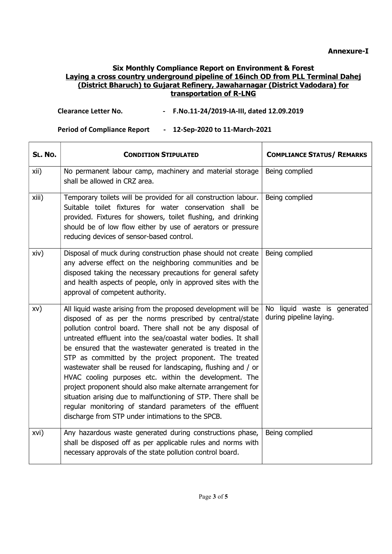# Clearance Letter No. - F.No.11-24/2019-IA-III, dated 12.09.2019

| SL. No. | <b>CONDITION STIPULATED</b>                                                                                                                                                                                                                                                                                                                                                                                                                                                                                                                                                                                                                                                                                                                                        | <b>COMPLIANCE STATUS/ REMARKS</b>                       |
|---------|--------------------------------------------------------------------------------------------------------------------------------------------------------------------------------------------------------------------------------------------------------------------------------------------------------------------------------------------------------------------------------------------------------------------------------------------------------------------------------------------------------------------------------------------------------------------------------------------------------------------------------------------------------------------------------------------------------------------------------------------------------------------|---------------------------------------------------------|
| xii)    | No permanent labour camp, machinery and material storage<br>shall be allowed in CRZ area.                                                                                                                                                                                                                                                                                                                                                                                                                                                                                                                                                                                                                                                                          | Being complied                                          |
| xiii)   | Temporary toilets will be provided for all construction labour.<br>Suitable toilet fixtures for water conservation shall be<br>provided. Fixtures for showers, toilet flushing, and drinking<br>should be of low flow either by use of aerators or pressure<br>reducing devices of sensor-based control.                                                                                                                                                                                                                                                                                                                                                                                                                                                           | Being complied                                          |
| xiv)    | Disposal of muck during construction phase should not create<br>any adverse effect on the neighboring communities and be<br>disposed taking the necessary precautions for general safety<br>and health aspects of people, only in approved sites with the<br>approval of competent authority.                                                                                                                                                                                                                                                                                                                                                                                                                                                                      | Being complied                                          |
| XV)     | All liquid waste arising from the proposed development will be<br>disposed of as per the norms prescribed by central/state<br>pollution control board. There shall not be any disposal of<br>untreated effluent into the sea/coastal water bodies. It shall<br>be ensured that the wastewater generated is treated in the<br>STP as committed by the project proponent. The treated<br>wastewater shall be reused for landscaping, flushing and / or<br>HVAC cooling purposes etc. within the development. The<br>project proponent should also make alternate arrangement for<br>situation arising due to malfunctioning of STP. There shall be<br>regular monitoring of standard parameters of the effluent<br>discharge from STP under intimations to the SPCB. | No liquid waste is generated<br>during pipeline laying. |
| xvi)    | Any hazardous waste generated during constructions phase,<br>shall be disposed off as per applicable rules and norms with<br>necessary approvals of the state pollution control board.                                                                                                                                                                                                                                                                                                                                                                                                                                                                                                                                                                             | Being complied                                          |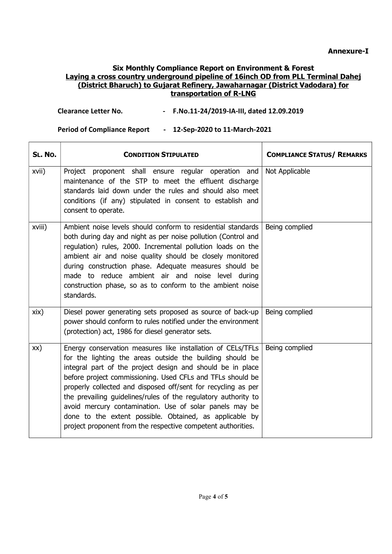## Clearance Letter No. - F.No.11-24/2019-IA-III, dated 12.09.2019

| SL. No.    | <b>CONDITION STIPULATED</b>                                                                                                                                                                                                                                                                                                                                                                                                                                                                                                                                                   | <b>COMPLIANCE STATUS/ REMARKS</b> |
|------------|-------------------------------------------------------------------------------------------------------------------------------------------------------------------------------------------------------------------------------------------------------------------------------------------------------------------------------------------------------------------------------------------------------------------------------------------------------------------------------------------------------------------------------------------------------------------------------|-----------------------------------|
| xvii)      | Project proponent shall ensure regular operation and<br>maintenance of the STP to meet the effluent discharge<br>standards laid down under the rules and should also meet<br>conditions (if any) stipulated in consent to establish and<br>consent to operate.                                                                                                                                                                                                                                                                                                                | Not Applicable                    |
| xviii)     | Ambient noise levels should conform to residential standards<br>both during day and night as per noise pollution (Control and<br>regulation) rules, 2000. Incremental pollution loads on the<br>ambient air and noise quality should be closely monitored<br>during construction phase. Adequate measures should be<br>made to reduce ambient air and noise level during<br>construction phase, so as to conform to the ambient noise<br>standards.                                                                                                                           | Being complied                    |
| $x$ ix $)$ | Diesel power generating sets proposed as source of back-up<br>power should conform to rules notified under the environment<br>(protection) act, 1986 for diesel generator sets.                                                                                                                                                                                                                                                                                                                                                                                               | Being complied                    |
| XX)        | Energy conservation measures like installation of CELs/TFLs<br>for the lighting the areas outside the building should be<br>integral part of the project design and should be in place<br>before project commissioning. Used CFLs and TFLs should be<br>properly collected and disposed off/sent for recycling as per<br>the prevailing guidelines/rules of the regulatory authority to<br>avoid mercury contamination. Use of solar panels may be<br>done to the extent possible. Obtained, as applicable by<br>project proponent from the respective competent authorities. | Being complied                    |